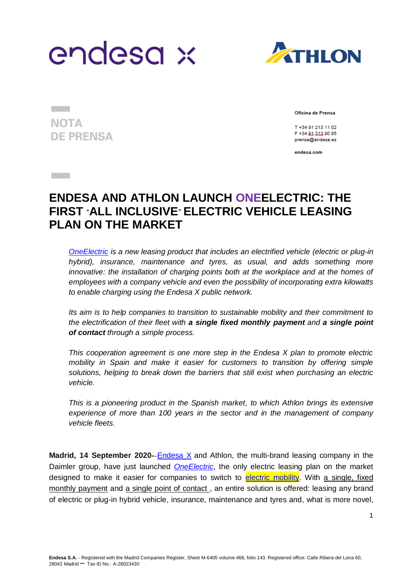



**NOTA DE PRENSA** 

**Contract** 

Oficina de Prensa

T +34 91 213 11 02 F +34 81 213 90 95 prensa@endesa.es

endesa.com

## **ENDESA AND ATHLON LAUNCH ONEELECTRIC: THE FIRST** "**ALL INCLUSIVE**" **ELECTRIC VEHICLE LEASING PLAN ON THE MARKET**

*[OneElectric](https://www.endesax.com/es/movilidad-electrica/productos/empresas/oneelectric) is a new leasing product that includes an electrified vehicle (electric or plug-in hybrid), insurance, maintenance and tyres, as usual, and adds something more innovative: the installation of charging points both at the workplace and at the homes of employees with a company vehicle and even the possibility of incorporating extra kilowatts to enable charging using the Endesa X public network.*

*Its aim is to help companies to transition to sustainable mobility and their commitment to the electrification of their fleet with a single fixed monthly payment and a single point of contact through a simple process.*

*This cooperation agreement is one more step in the Endesa X plan to promote electric mobility in Spain and make it easier for customers to transition by offering simple solutions, helping to break down the barriers that still exist when purchasing an electric vehicle.* 

*This is a pioneering product in the Spanish market, to which Athlon brings its extensive experience of more than 100 years in the sector and in the management of company vehicle fleets.* 

**Madrid, 14 September 2020–[Endesa X](https://www.endesax.com/es) and Athlon, the multi-brand leasing company in the** Daimler group, have just launched *[OneElectric](https://www.endesax.com/es/movilidad-electrica/productos/empresas/oneelectric)*, the only electric leasing plan on the market designed to make it easier for companies to switch to [electric mobility.](https://www.endesa.com/es/nuestro-compromiso/medioambiente/movilidad-electrica-vehiculo-electrico) With a single, fixed monthly payment and a single point of contact , an entire solution is offered: leasing any brand of electric or plug-in hybrid vehicle, insurance, maintenance and tyres and, what is more novel,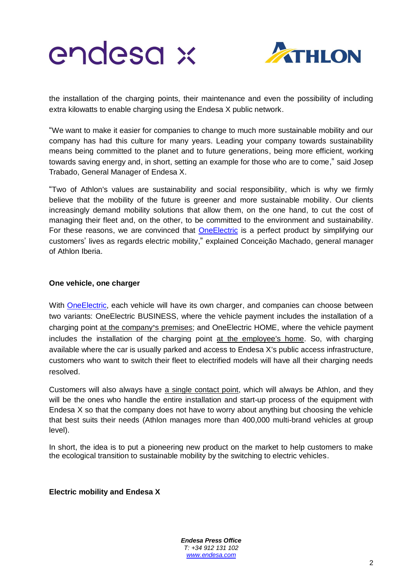



the installation of the charging points, their maintenance and even the possibility of including extra kilowatts to enable charging using the Endesa X public network.

"We want to make it easier for companies to change to much more sustainable mobility and our company has had this culture for many years. Leading your company towards sustainability means being committed to the planet and to future generations, being more efficient, working towards saving energy and, in short, setting an example for those who are to come," said Josep Trabado, General Manager of Endesa X.

"Two of Athlon's values are sustainability and social responsibility, which is why we firmly believe that the mobility of the future is greener and more sustainable mobility. Our clients increasingly demand mobility solutions that allow them, on the one hand, to cut the cost of managing their fleet and, on the other, to be committed to the environment and sustainability. For these reasons, we are convinced that **OneElectric** is a perfect product by simplifying our customers' lives as regards electric mobility," explained Conceição Machado, general manager of Athlon Iberia.

## **One vehicle, one charger**

With [OneElectric,](https://www.endesax.com/es/movilidad-electrica/productos/empresas/oneelectric) each vehicle will have its own charger, and companies can choose between two variants: OneElectric BUSINESS, where the vehicle payment includes the installation of a charging point at the company**'**s premises; and OneElectric HOME, where the vehicle payment includes the installation of the charging point at the employee's home. So, with charging available where the car is usually parked and access to Endesa X's public access infrastructure, customers who want to switch their fleet to electrified models will have all their charging needs resolved.

Customers will also always have a single contact point, which will always be Athlon, and they will be the ones who handle the entire installation and start-up process of the equipment with Endesa X so that the company does not have to worry about anything but choosing the vehicle that best suits their needs (Athlon manages more than 400,000 multi-brand vehicles at group level).

In short, the idea is to put a pioneering new product on the market to help customers to make the ecological transition to sustainable mobility by the switching to electric vehicles.

**Electric mobility and Endesa X** 

*Endesa Press Office T: +34 912 131 102 [www.endesa.com](http://www.endesa.com/)*